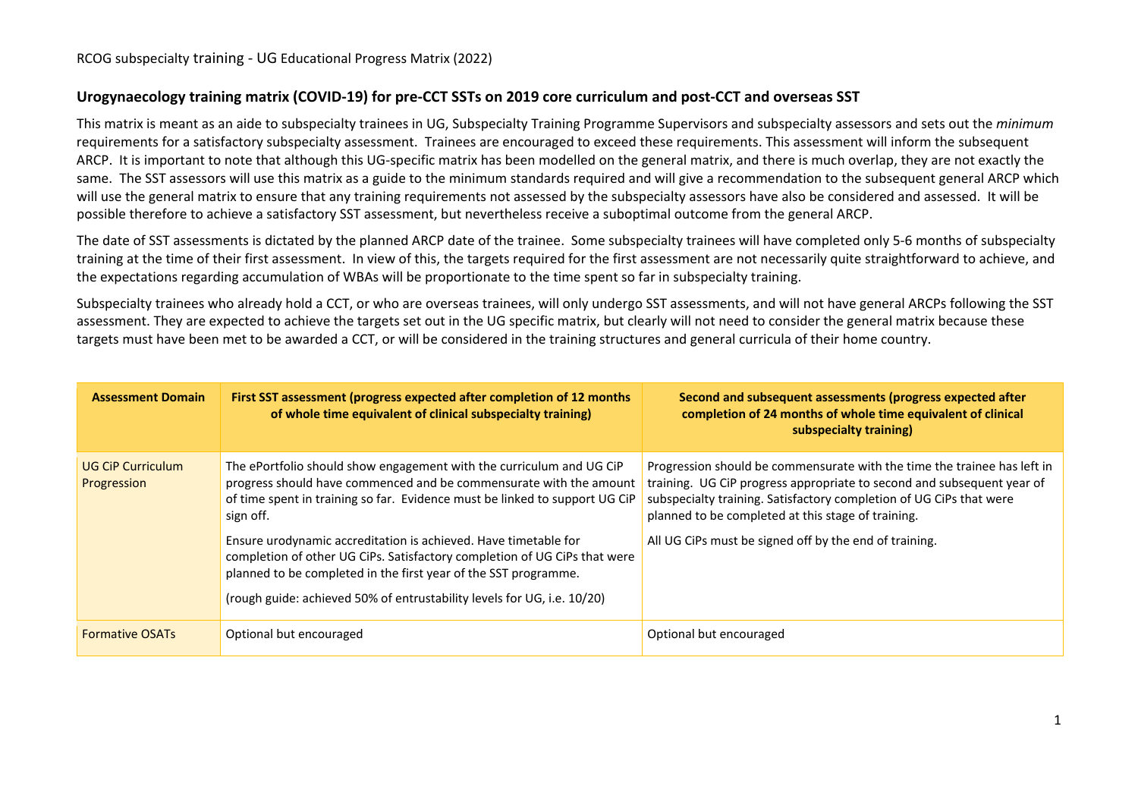## **Urogynaecology training matrix (COVID-19) for pre-CCT SSTs on 2019 core curriculum and post-CCT and overseas SST**

This matrix is meant as an aide to subspecialty trainees in UG, Subspecialty Training Programme Supervisors and subspecialty assessors and sets out the *minimum* requirements for a satisfactory subspecialty assessment. Trainees are encouraged to exceed these requirements. This assessment will inform the subsequent ARCP. It is important to note that although this UG-specific matrix has been modelled on the general matrix, and there is much overlap, they are not exactly the same. The SST assessors will use this matrix as a guide to the minimum standards required and will give a recommendation to the subsequent general ARCP which will use the general matrix to ensure that any training requirements not assessed by the subspecialty assessors have also be considered and assessed. It will be possible therefore to achieve a satisfactory SST assessment, but nevertheless receive a suboptimal outcome from the general ARCP.

The date of SST assessments is dictated by the planned ARCP date of the trainee. Some subspecialty trainees will have completed only 5-6 months of subspecialty training at the time of their first assessment. In view of this, the targets required for the first assessment are not necessarily quite straightforward to achieve, and the expectations regarding accumulation of WBAs will be proportionate to the time spent so far in subspecialty training.

Subspecialty trainees who already hold a CCT, or who are overseas trainees, will only undergo SST assessments, and will not have general ARCPs following the SST assessment. They are expected to achieve the targets set out in the UG specific matrix, but clearly will not need to consider the general matrix because these targets must have been met to be awarded a CCT, or will be considered in the training structures and general curricula of their home country.

| <b>Assessment Domain</b>                | First SST assessment (progress expected after completion of 12 months<br>of whole time equivalent of clinical subspecialty training)                                                                                                                                                       | Second and subsequent assessments (progress expected after<br>completion of 24 months of whole time equivalent of clinical<br>subspecialty training)                                                                                                                            |
|-----------------------------------------|--------------------------------------------------------------------------------------------------------------------------------------------------------------------------------------------------------------------------------------------------------------------------------------------|---------------------------------------------------------------------------------------------------------------------------------------------------------------------------------------------------------------------------------------------------------------------------------|
| <b>UG CiP Curriculum</b><br>Progression | The ePortfolio should show engagement with the curriculum and UG CiP<br>progress should have commenced and be commensurate with the amount<br>of time spent in training so far. Evidence must be linked to support UG CiP<br>sign off.                                                     | Progression should be commensurate with the time the trainee has left in<br>training. UG CiP progress appropriate to second and subsequent year of<br>subspecialty training. Satisfactory completion of UG CiPs that were<br>planned to be completed at this stage of training. |
|                                         | Ensure urodynamic accreditation is achieved. Have timetable for<br>completion of other UG CiPs. Satisfactory completion of UG CiPs that were<br>planned to be completed in the first year of the SST programme.<br>(rough guide: achieved 50% of entrustability levels for UG, i.e. 10/20) | All UG CiPs must be signed off by the end of training.                                                                                                                                                                                                                          |
| <b>Formative OSATs</b>                  | Optional but encouraged                                                                                                                                                                                                                                                                    | Optional but encouraged                                                                                                                                                                                                                                                         |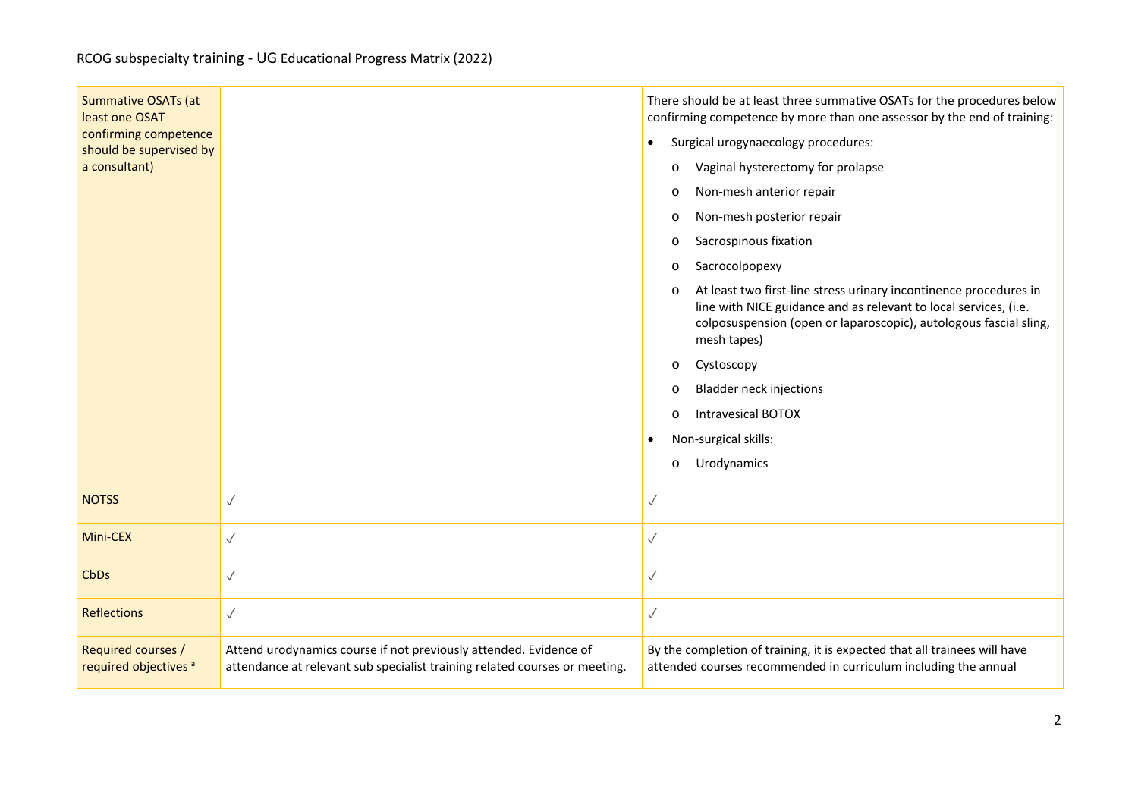| <b>Summative OSATs (at</b><br>least one OSAT<br>confirming competence |                                                                                                                                                 | There should be at least three summative OSATs for the procedures below<br>confirming competence by more than one assessor by the end of training:                                                                                   |
|-----------------------------------------------------------------------|-------------------------------------------------------------------------------------------------------------------------------------------------|--------------------------------------------------------------------------------------------------------------------------------------------------------------------------------------------------------------------------------------|
| should be supervised by                                               |                                                                                                                                                 | Surgical urogynaecology procedures:<br>$\bullet$                                                                                                                                                                                     |
| a consultant)                                                         |                                                                                                                                                 | Vaginal hysterectomy for prolapse<br>$\circ$                                                                                                                                                                                         |
|                                                                       |                                                                                                                                                 | Non-mesh anterior repair<br>$\circ$                                                                                                                                                                                                  |
|                                                                       |                                                                                                                                                 | Non-mesh posterior repair<br>$\circ$                                                                                                                                                                                                 |
|                                                                       |                                                                                                                                                 | Sacrospinous fixation<br>$\circ$                                                                                                                                                                                                     |
|                                                                       |                                                                                                                                                 | Sacrocolpopexy<br>$\circ$                                                                                                                                                                                                            |
|                                                                       |                                                                                                                                                 | At least two first-line stress urinary incontinence procedures in<br>$\circ$<br>line with NICE guidance and as relevant to local services, (i.e.<br>colposuspension (open or laparoscopic), autologous fascial sling,<br>mesh tapes) |
|                                                                       |                                                                                                                                                 | Cystoscopy<br>$\circ$                                                                                                                                                                                                                |
|                                                                       |                                                                                                                                                 | <b>Bladder neck injections</b><br>$\circ$                                                                                                                                                                                            |
|                                                                       |                                                                                                                                                 | <b>Intravesical BOTOX</b><br>$\Omega$                                                                                                                                                                                                |
|                                                                       |                                                                                                                                                 | Non-surgical skills:<br>$\bullet$                                                                                                                                                                                                    |
|                                                                       |                                                                                                                                                 | Urodynamics<br>$\circ$                                                                                                                                                                                                               |
| <b>NOTSS</b>                                                          | $\checkmark$                                                                                                                                    | $\sqrt{}$                                                                                                                                                                                                                            |
| Mini-CEX                                                              | $\checkmark$                                                                                                                                    | $\checkmark$                                                                                                                                                                                                                         |
| CbDs                                                                  |                                                                                                                                                 | $\sqrt{}$                                                                                                                                                                                                                            |
| <b>Reflections</b>                                                    | $\sqrt{}$                                                                                                                                       | $\checkmark$                                                                                                                                                                                                                         |
| Required courses /<br>required objectives <sup>a</sup>                | Attend urodynamics course if not previously attended. Evidence of<br>attendance at relevant sub specialist training related courses or meeting. | By the completion of training, it is expected that all trainees will have<br>attended courses recommended in curriculum including the annual                                                                                         |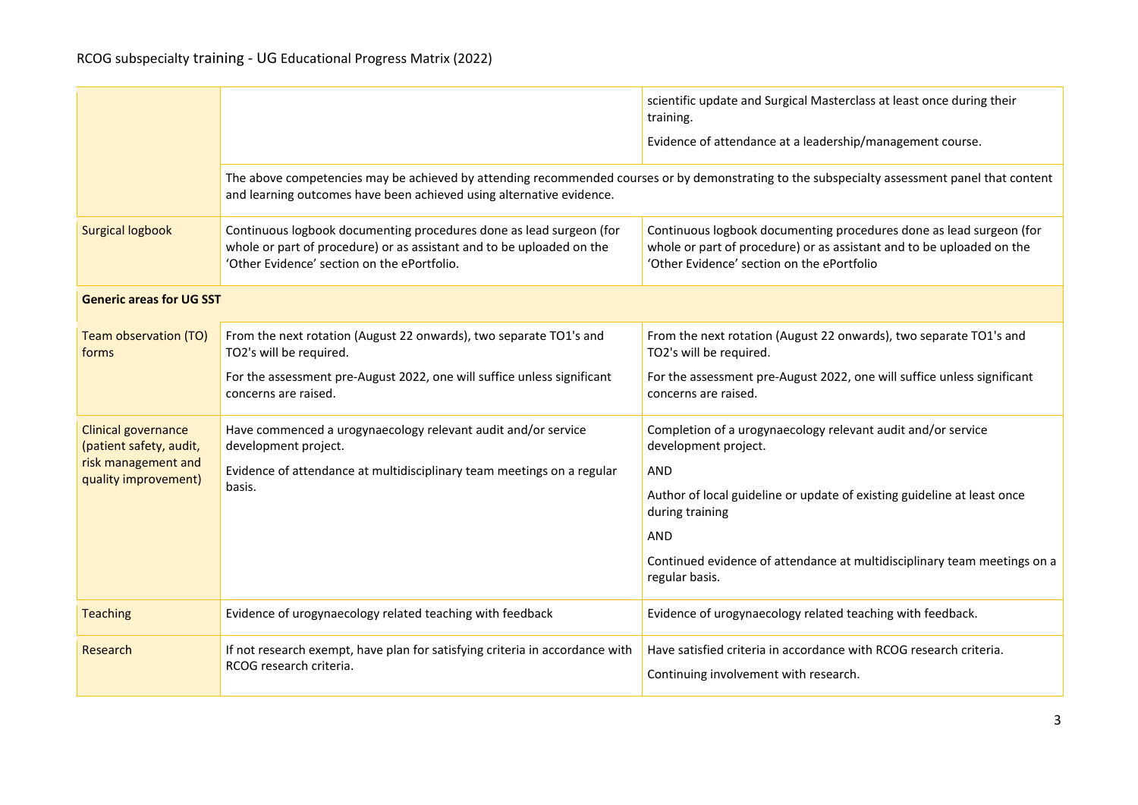|                                                       |                                                                                                                                                                                                                       | scientific update and Surgical Masterclass at least once during their<br>training.<br>Evidence of attendance at a leadership/management course.                                            |  |  |
|-------------------------------------------------------|-----------------------------------------------------------------------------------------------------------------------------------------------------------------------------------------------------------------------|--------------------------------------------------------------------------------------------------------------------------------------------------------------------------------------------|--|--|
|                                                       | The above competencies may be achieved by attending recommended courses or by demonstrating to the subspecialty assessment panel that content<br>and learning outcomes have been achieved using alternative evidence. |                                                                                                                                                                                            |  |  |
| <b>Surgical logbook</b>                               | Continuous logbook documenting procedures done as lead surgeon (for<br>whole or part of procedure) or as assistant and to be uploaded on the<br>'Other Evidence' section on the ePortfolio.                           | Continuous logbook documenting procedures done as lead surgeon (for<br>whole or part of procedure) or as assistant and to be uploaded on the<br>'Other Evidence' section on the ePortfolio |  |  |
| <b>Generic areas for UG SST</b>                       |                                                                                                                                                                                                                       |                                                                                                                                                                                            |  |  |
| Team observation (TO)<br>forms                        | From the next rotation (August 22 onwards), two separate TO1's and<br>TO2's will be required.                                                                                                                         | From the next rotation (August 22 onwards), two separate TO1's and<br>TO2's will be required.                                                                                              |  |  |
|                                                       | For the assessment pre-August 2022, one will suffice unless significant<br>concerns are raised.                                                                                                                       | For the assessment pre-August 2022, one will suffice unless significant<br>concerns are raised.                                                                                            |  |  |
| <b>Clinical governance</b><br>(patient safety, audit, | Have commenced a urogynaecology relevant audit and/or service<br>development project.                                                                                                                                 | Completion of a urogynaecology relevant audit and/or service<br>development project.                                                                                                       |  |  |
| risk management and<br>quality improvement)           | Evidence of attendance at multidisciplinary team meetings on a regular                                                                                                                                                | <b>AND</b>                                                                                                                                                                                 |  |  |
|                                                       | basis.                                                                                                                                                                                                                | Author of local guideline or update of existing guideline at least once<br>during training                                                                                                 |  |  |
|                                                       |                                                                                                                                                                                                                       | <b>AND</b>                                                                                                                                                                                 |  |  |
|                                                       |                                                                                                                                                                                                                       | Continued evidence of attendance at multidisciplinary team meetings on a<br>regular basis.                                                                                                 |  |  |
| <b>Teaching</b>                                       | Evidence of urogynaecology related teaching with feedback                                                                                                                                                             | Evidence of urogynaecology related teaching with feedback.                                                                                                                                 |  |  |
| Research                                              | If not research exempt, have plan for satisfying criteria in accordance with<br>RCOG research criteria.                                                                                                               | Have satisfied criteria in accordance with RCOG research criteria.<br>Continuing involvement with research.                                                                                |  |  |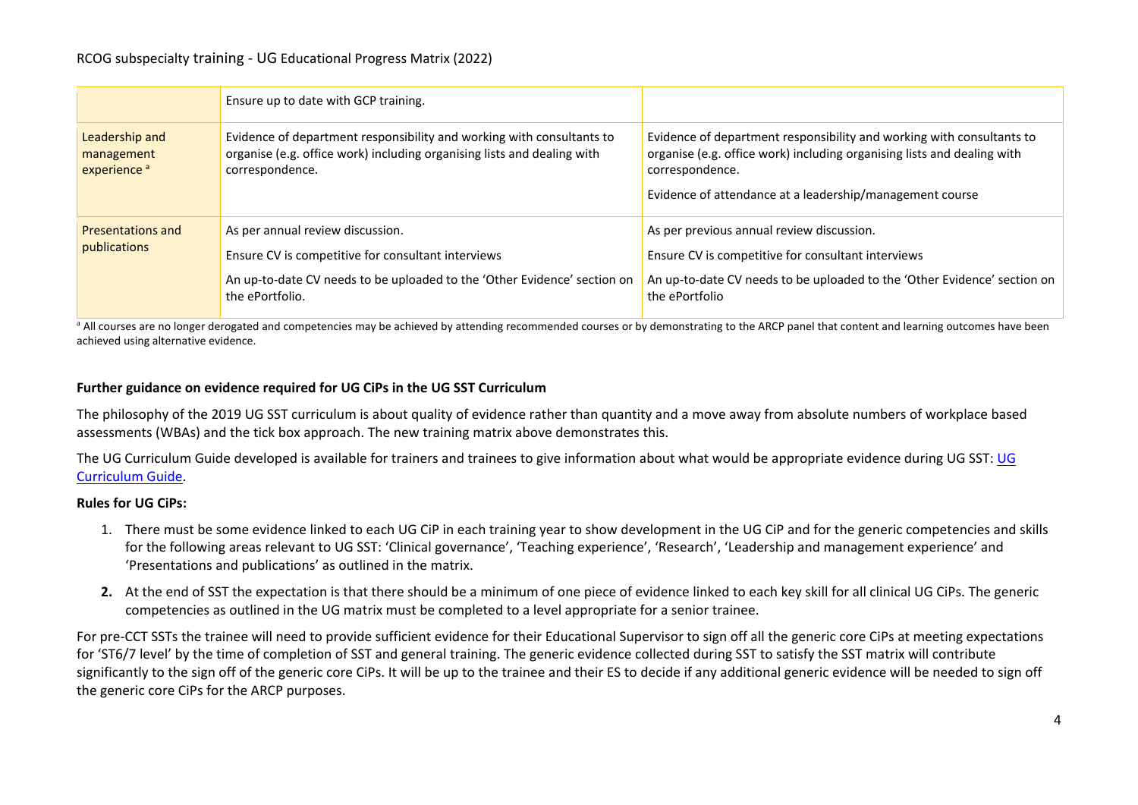|                                                         | Ensure up to date with GCP training.                                                                                                                                                  |                                                                                                                                                                                                                                 |
|---------------------------------------------------------|---------------------------------------------------------------------------------------------------------------------------------------------------------------------------------------|---------------------------------------------------------------------------------------------------------------------------------------------------------------------------------------------------------------------------------|
| Leadership and<br>management<br>experience <sup>a</sup> | Evidence of department responsibility and working with consultants to<br>organise (e.g. office work) including organising lists and dealing with<br>correspondence.                   | Evidence of department responsibility and working with consultants to<br>organise (e.g. office work) including organising lists and dealing with<br>correspondence.<br>Evidence of attendance at a leadership/management course |
| <b>Presentations and</b><br>publications                | As per annual review discussion.<br>Ensure CV is competitive for consultant interviews<br>An up-to-date CV needs to be uploaded to the 'Other Evidence' section on<br>the ePortfolio. | As per previous annual review discussion.<br>Ensure CV is competitive for consultant interviews<br>An up-to-date CV needs to be uploaded to the 'Other Evidence' section on<br>the ePortfolio                                   |

<sup>a</sup> All courses are no longer derogated and competencies may be achieved by attending recommended courses or by demonstrating to the ARCP panel that content and learning outcomes have been achieved using alternative evidence.

## **Further guidance on evidence required for UG CiPs in the UG SST Curriculum**

The philosophy of the 2019 UG SST curriculum is about quality of evidence rather than quantity and a move away from absolute numbers of workplace based assessments (WBAs) and the tick box approach. The new training matrix above demonstrates this.

The [UG](https://elearning.rcog.org.uk/new-curriculum-2019-training-resource/curriculum-structure/advancedsubspecialty-1) Curriculum Guide developed is available for trainers and trainees to give information about what would be appropriate evidence during UG SST: UG [Curriculum](https://elearning.rcog.org.uk/new-curriculum-2019-training-resource/curriculum-structure/advancedsubspecialty-1) Guide.

## **Rules for UG CiPs:**

- 1. There must be some evidence linked to each UG CiP in each training year to show development in the UG CiP and for the generic competencies and skills for the following areas relevant to UG SST: 'Clinical governance', 'Teaching experience', 'Research', 'Leadership and management experience' and 'Presentations and publications' as outlined in the matrix.
- **2.** At the end of SST the expectation is that there should be a minimum of one piece of evidence linked to each key skill for all clinical UG CiPs. The generic competencies as outlined in the UG matrix must be completed to a level appropriate for a senior trainee.

For pre-CCT SSTs the trainee will need to provide sufficient evidence for their Educational Supervisor to sign off all the generic core CiPs at meeting expectations for 'ST6/7 level' by the time of completion of SST and general training. The generic evidence collected during SST to satisfy the SST matrix will contribute significantly to the sign off of the generic core CiPs. It will be up to the trainee and their ES to decide if any additional generic evidence will be needed to sign off the generic core CiPs for the ARCP purposes.